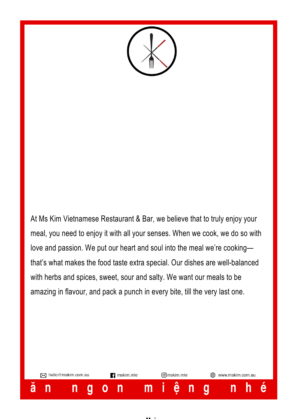

At Ms Kim Vietnamese Restaurant & Bar, we believe that to truly enjoy your meal, you need to enjoy it with all your senses. When we cook, we do so with love and passion. We put our heart and soul into the meal we're cooking that's what makes the food taste extra special. Our dishes are well-balanced with herbs and spices, sweet, sour and salty. We want our meals to be amazing in flavour, and pack a punch in every bite, till the very last one.

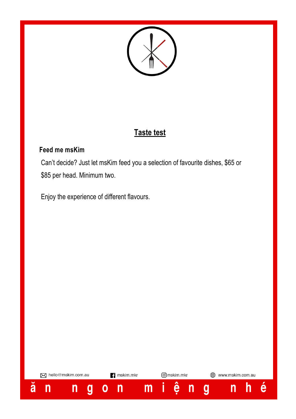

# **Taste test**

## **Feed me msKim**

 Can't decide? Just let msKim feed you a selection of favourite dishes, \$65 or \$85 per head. Minimum two.

Enjoy the experience of different flavours.

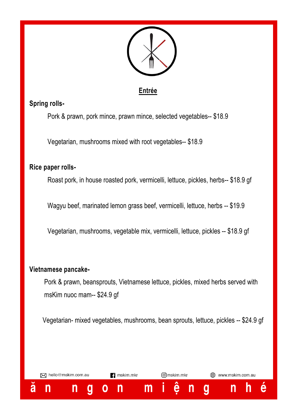

## **Entrée**

## **Spring rolls-**

Pork & prawn, pork mince, prawn mince, selected vegetables-- \$18.9

Vegetarian, mushrooms mixed with root vegetables-- \$18.9

#### **Rice paper rolls-**

Roast pork, in house roasted pork, vermicelli, lettuce, pickles, herbs-- \$18.9 gf

Wagyu beef, marinated lemon grass beef, vermicelli, lettuce, herbs -- \$19.9

Vegetarian, mushrooms, vegetable mix, vermicelli, lettuce, pickles -- \$18.9 gf

## **Vietnamese pancake-**

 Pork & prawn, beansprouts, Vietnamese lettuce, pickles, mixed herbs served with msKim nuoc mam-- \$24.9 gf

Vegetarian- mixed vegetables, mushrooms, bean sprouts, lettuce, pickles -- \$24.9 gf

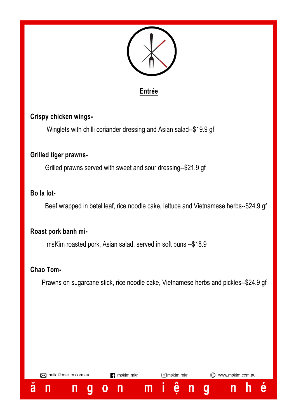



#### **Crispy chicken wings-**

Winglets with chilli coriander dressing and Asian salad--\$19.9 gf

#### **Grilled tiger prawns-**

Grilled prawns served with sweet and sour dressing--\$21.9 gf

#### **Bo la lot-**

Beef wrapped in betel leaf, rice noodle cake, lettuce and Vietnamese herbs--\$24.9 gf

#### **Roast pork banh mi-**

msKim roasted pork, Asian salad, served in soft buns --\$18.9

#### **Chao Tom-**

Prawns on sugarcane stick, rice noodle cake, Vietnamese herbs and pickles--\$24.9 gf

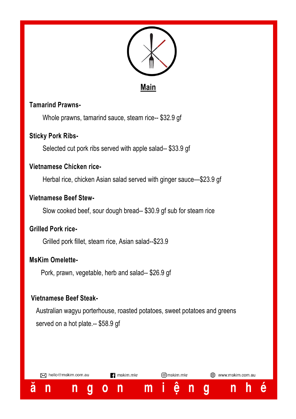

**Main**

#### **Tamarind Prawns-**

Whole prawns, tamarind sauce, steam rice-- \$32.9 gf

#### **Sticky Pork Ribs-**

Selected cut pork ribs served with apple salad-- \$33.9 gf

#### **Vietnamese Chicken rice-**

Herbal rice, chicken Asian salad served with ginger sauce—\$23.9 gf

#### **Vietnamese Beef Stew-**

Slow cooked beef, sour dough bread-- \$30.9 gf sub for steam rice

#### **Grilled Pork rice-**

Grilled pork fillet, steam rice, Asian salad--\$23.9

#### **MsKim Omelette-**

ă

n

Pork, prawn, vegetable, herb and salad-- \$26.9 gf

#### **Vietnamese Beef Steak-**

M hello@mskim.com.au

n

Q

O

 Australian wagyu porterhouse, roasted potatoes, sweet potatoes and greens served on a hot plate.-- \$58.9 qf

 $m$ 

**可mskim.mkr** 

ê

n

g

www.mskim.com.au

 $\mathsf{n}$ 

h

e

mskim.mkr

n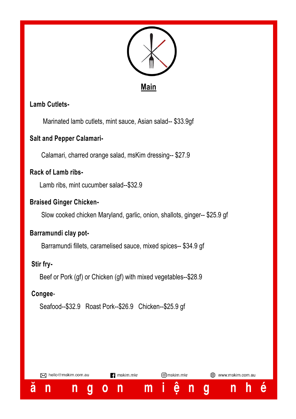

## **Lamb Cutlets-**

Marinated lamb cutlets, mint sauce, Asian salad-- \$33.9gf

#### **Salt and Pepper Calamari-**

Calamari, charred orange salad, msKim dressing-- \$27.9

## **Rack of Lamb ribs-**

Lamb ribs, mint cucumber salad--\$32.9

#### **Braised Ginger Chicken-**

Slow cooked chicken Maryland, garlic, onion, shallots, ginger-- \$25.9 gf

#### **Barramundi clay pot-**

Barramundi fillets, caramelised sauce, mixed spices-- \$34.9 gf

#### **Stir fry-**

Beef or Pork (gf) or Chicken (gf) with mixed vegetables--\$28.9

#### **Congee**-

Seafood--\$32.9 Roast Pork--\$26.9 Chicken--\$25.9 gf

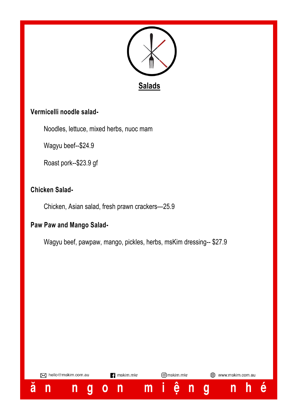

## **Vermicelli noodle salad-**

Noodles, lettuce, mixed herbs, nuoc mam

Wagyu beef--\$24.9

Roast pork--\$23.9 gf

## **Chicken Salad-**

Chicken, Asian salad, fresh prawn crackers—25.9

## **Paw Paw and Mango Salad-**

Wagyu beef, pawpaw, mango, pickles, herbs, msKim dressing-- \$27.9

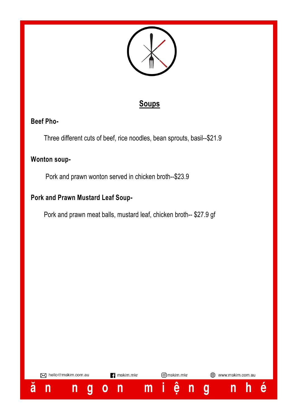

## **Soups**

## **Beef Pho-**

Three different cuts of beef, rice noodles, bean sprouts, basil--\$21.9

## **Wonton soup-**

Pork and prawn wonton served in chicken broth--\$23.9

## **Pork and Prawn Mustard Leaf Soup-**

Pork and prawn meat balls, mustard leaf, chicken broth-- \$27.9 gf

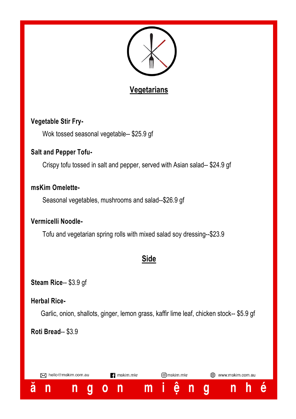

# **Vegetarians**

## **Vegetable Stir Fry-**

Wok tossed seasonal vegetable-- \$25.9 gf

#### **Salt and Pepper Tofu-**

Crispy tofu tossed in salt and pepper, served with Asian salad-- \$24.9 gf

#### **msKim Omelette-**

Seasonal vegetables, mushrooms and salad--\$26.9 gf

#### **Vermicelli Noodle-**

Tofu and vegetarian spring rolls with mixed salad soy dressing--\$23.9

# **Side**

**Steam Rice**-- \$3.9 gf

#### **Herbal Rice-**

Garlic, onion, shallots, ginger, lemon grass, kaffir lime leaf, chicken stock-- \$5.9 gf

## **Roti Bread**-- \$3.9